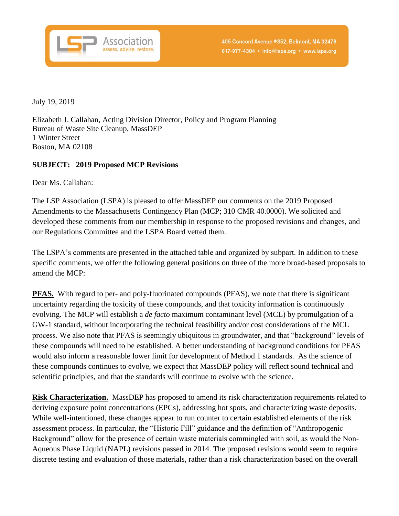

July 19, 2019

Elizabeth J. Callahan, Acting Division Director, Policy and Program Planning Bureau of Waste Site Cleanup, MassDEP 1 Winter Street Boston, MA 02108

#### **SUBJECT: 2019 Proposed MCP Revisions**

Dear Ms. Callahan:

The LSP Association (LSPA) is pleased to offer MassDEP our comments on the 2019 Proposed Amendments to the Massachusetts Contingency Plan (MCP; 310 CMR 40.0000). We solicited and developed these comments from our membership in response to the proposed revisions and changes, and our Regulations Committee and the LSPA Board vetted them.

The LSPA's comments are presented in the attached table and organized by subpart. In addition to these specific comments, we offer the following general positions on three of the more broad-based proposals to amend the MCP:

**PFAS.** With regard to per- and poly-fluorinated compounds (PFAS), we note that there is significant uncertainty regarding the toxicity of these compounds, and that toxicity information is continuously evolving. The MCP will establish a *de facto* maximum contaminant level (MCL) by promulgation of a GW-1 standard, without incorporating the technical feasibility and/or cost considerations of the MCL process. We also note that PFAS is seemingly ubiquitous in groundwater, and that "background" levels of these compounds will need to be established. A better understanding of background conditions for PFAS would also inform a reasonable lower limit for development of Method 1 standards. As the science of these compounds continues to evolve, we expect that MassDEP policy will reflect sound technical and scientific principles, and that the standards will continue to evolve with the science.

**Risk Characterization.** MassDEP has proposed to amend its risk characterization requirements related to deriving exposure point concentrations (EPCs), addressing hot spots, and characterizing waste deposits. While well-intentioned, these changes appear to run counter to certain established elements of the risk assessment process. In particular, the "Historic Fill" guidance and the definition of "Anthropogenic Background" allow for the presence of certain waste materials commingled with soil, as would the Non-Aqueous Phase Liquid (NAPL) revisions passed in 2014. The proposed revisions would seem to require discrete testing and evaluation of those materials, rather than a risk characterization based on the overall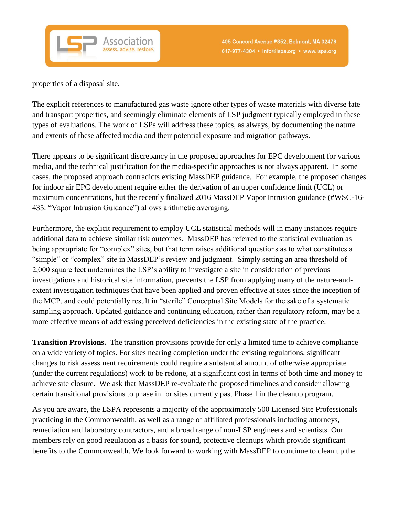

properties of a disposal site.

The explicit references to manufactured gas waste ignore other types of waste materials with diverse fate and transport properties, and seemingly eliminate elements of LSP judgment typically employed in these types of evaluations. The work of LSPs will address these topics, as always, by documenting the nature and extents of these affected media and their potential exposure and migration pathways.

There appears to be significant discrepancy in the proposed approaches for EPC development for various media, and the technical justification for the media-specific approaches is not always apparent. In some cases, the proposed approach contradicts existing MassDEP guidance. For example, the proposed changes for indoor air EPC development require either the derivation of an upper confidence limit (UCL) or maximum concentrations, but the recently finalized 2016 MassDEP Vapor Intrusion guidance (#WSC-16- 435: "Vapor Intrusion Guidance") allows arithmetic averaging.

Furthermore, the explicit requirement to employ UCL statistical methods will in many instances require additional data to achieve similar risk outcomes. MassDEP has referred to the statistical evaluation as being appropriate for "complex" sites, but that term raises additional questions as to what constitutes a "simple" or "complex" site in MassDEP's review and judgment. Simply setting an area threshold of 2,000 square feet undermines the LSP's ability to investigate a site in consideration of previous investigations and historical site information, prevents the LSP from applying many of the nature-andextent investigation techniques that have been applied and proven effective at sites since the inception of the MCP, and could potentially result in "sterile" Conceptual Site Models for the sake of a systematic sampling approach. Updated guidance and continuing education, rather than regulatory reform, may be a more effective means of addressing perceived deficiencies in the existing state of the practice.

**Transition Provisions.** The transition provisions provide for only a limited time to achieve compliance on a wide variety of topics. For sites nearing completion under the existing regulations, significant changes to risk assessment requirements could require a substantial amount of otherwise appropriate (under the current regulations) work to be redone, at a significant cost in terms of both time and money to achieve site closure. We ask that MassDEP re-evaluate the proposed timelines and consider allowing certain transitional provisions to phase in for sites currently past Phase I in the cleanup program.

As you are aware, the LSPA represents a majority of the approximately 500 Licensed Site Professionals practicing in the Commonwealth, as well as a range of affiliated professionals including attorneys, remediation and laboratory contractors, and a broad range of non-LSP engineers and scientists. Our members rely on good regulation as a basis for sound, protective cleanups which provide significant benefits to the Commonwealth. We look forward to working with MassDEP to continue to clean up the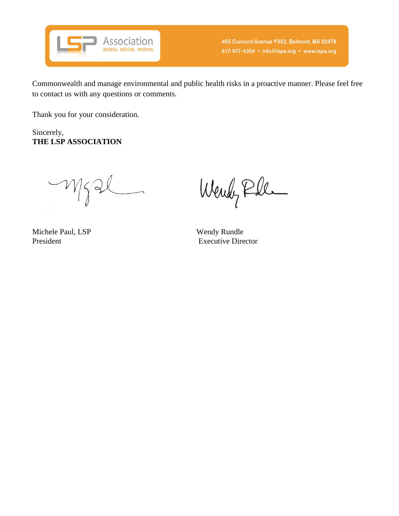

Commonwealth and manage environmental and public health risks in a proactive manner. Please feel free to contact us with any questions or comments.

Thank you for your consideration.

Sincerely, **THE LSP ASSOCIATION**

Wygel

Michele Paul, LSP<br>
President<br>
Executive Direction

Wendy Ple

**Executive Director**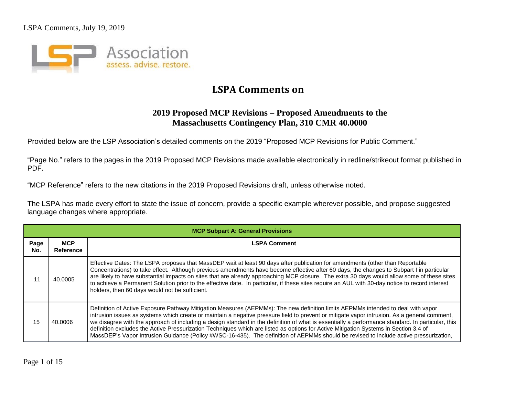

# **LSPA Comments on**

#### **2019 Proposed MCP Revisions – Proposed Amendments to the Massachusetts Contingency Plan, 310 CMR 40.0000**

Provided below are the LSP Association's detailed comments on the 2019 "Proposed MCP Revisions for Public Comment."

"Page No." refers to the pages in the 2019 Proposed MCP Revisions made available electronically in redline/strikeout format published in PDF.

"MCP Reference" refers to the new citations in the 2019 Proposed Revisions draft, unless otherwise noted.

The LSPA has made every effort to state the issue of concern, provide a specific example wherever possible, and propose suggested language changes where appropriate.

|             | <b>MCP Subpart A: General Provisions</b> |                                                                                                                                                                                                                                                                                                                                                                                                                                                                                                                                                                                                                                                                                                                        |  |  |
|-------------|------------------------------------------|------------------------------------------------------------------------------------------------------------------------------------------------------------------------------------------------------------------------------------------------------------------------------------------------------------------------------------------------------------------------------------------------------------------------------------------------------------------------------------------------------------------------------------------------------------------------------------------------------------------------------------------------------------------------------------------------------------------------|--|--|
| Page<br>No. | <b>MCP</b><br>Reference                  | <b>LSPA Comment</b>                                                                                                                                                                                                                                                                                                                                                                                                                                                                                                                                                                                                                                                                                                    |  |  |
|             | 40.0005                                  | Effective Dates: The LSPA proposes that MassDEP wait at least 90 days after publication for amendments (other than Reportable<br>Concentrations) to take effect. Although previous amendments have become effective after 60 days, the changes to Subpart I in particular<br>are likely to have substantial impacts on sites that are already approaching MCP closure. The extra 30 days would allow some of these sites<br>to achieve a Permanent Solution prior to the effective date. In particular, if these sites require an AUL with 30-day notice to record interest<br>holders, then 60 days would not be sufficient.                                                                                          |  |  |
| 15          | 40.0006                                  | Definition of Active Exposure Pathway Mitigation Measures (AEPMMs): The new definition limits AEPMMs intended to deal with vapor<br>intrusion issues as systems which create or maintain a negative pressure field to prevent or mitigate vapor intrusion. As a general comment,<br>we disagree with the approach of including a design standard in the definition of what is essentially a performance standard. In particular, this<br>definition excludes the Active Pressurization Techniques which are listed as options for Active Mitigation Systems in Section 3.4 of<br>MassDEP's Vapor Intrusion Guidance (Policy #WSC-16-435). The definition of AEPMMs should be revised to include active pressurization, |  |  |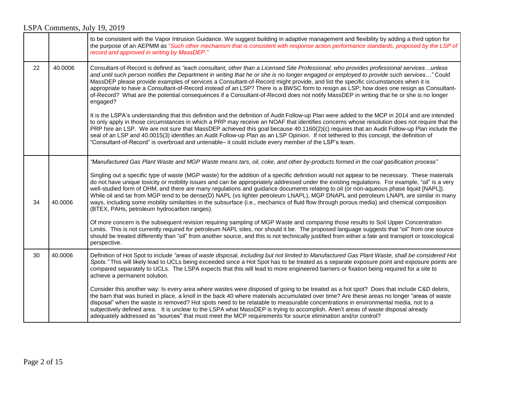|    |         | to be consistent with the Vapor Intrusion Guidance. We suggest building in adaptive management and flexibility by adding a third option for<br>the purpose of an AEPMM as "Such other mechanism that is consistent with response action performance standards, proposed by the LSP of<br>record and approved in writing by MassDEP."                                                                                                                                                                                                                                                                                                                                                                                                                                         |
|----|---------|------------------------------------------------------------------------------------------------------------------------------------------------------------------------------------------------------------------------------------------------------------------------------------------------------------------------------------------------------------------------------------------------------------------------------------------------------------------------------------------------------------------------------------------------------------------------------------------------------------------------------------------------------------------------------------------------------------------------------------------------------------------------------|
| 22 | 40.0006 | Consultant-of-Record is defined as "each consultant, other than a Licensed Site Professional, who provides professional servicesunless<br>and until such person notifies the Department in writing that he or she is no longer engaged or employed to provide such services" Could<br>MassDEP please provide examples of services a Consultant-of-Record might provide, and list the specific circumstances when it is<br>appropriate to have a Consultant-of-Record instead of an LSP? There is a BWSC form to resign as LSP; how does one resign as Consultant-<br>of-Record? What are the potential consequences if a Consultant-of-Record does not notify MassDEP in writing that he or she is no longer<br>engaged?                                                     |
|    |         | It is the LSPA's understanding that this definition and the definition of Audit Follow-up Plan were added to the MCP in 2014 and are intended<br>to only apply in those circumstances in which a PRP may receive an NOAF that identifies concerns whose resolution does not require that the<br>PRP hire an LSP. We are not sure that MassDEP achieved this goal because 40.1160(2)(c) requires that an Audit Follow-up Plan include the<br>seal of an LSP and 40.0015(3) identifies an Audit Follow-up Plan as an LSP Opinion. If not tethered to this concept, the definition of<br>"Consultant-of-Record" is overbroad and untenable- it could include every member of the LSP's team.                                                                                    |
|    |         | "Manufactured Gas Plant Waste and MGP Waste means tars, oil, coke, and other by-products formed in the coal gasification process"                                                                                                                                                                                                                                                                                                                                                                                                                                                                                                                                                                                                                                            |
| 34 | 40.0006 | Singling out a specific type of waste (MGP waste) for the addition of a specific definition would not appear to be necessary. These materials<br>do not have unique toxicity or mobility issues and can be appropriately addressed under the existing regulations. For example, "oil" is a very<br>well-studied form of OHM, and there are many regulations and guidance documents relating to oil (or non-aqueous phase liquid [NAPL]).<br>While oil and tar from MGP tend to be dense(D) NAPL (vs lighter petroleum LNAPL), MGP DNAPL and petroleum LNAPL are similar in many<br>ways, including some mobility similarities in the subsurface (i.e., mechanics of fluid flow through porous media) and chemical composition<br>(BTEX, PAHs, petroleum hydrocarbon ranges). |
|    |         | Of more concern is the subsequent revision requiring sampling of MGP Waste and comparing those results to Soil Upper Concentration<br>Limits. This is not currently required for petroleum NAPL sites, nor should it be. The proposed language suggests that "oil" from one source<br>should be treated differently than "oil" from another source, and this is not technically justified from either a fate and transport or toxicological<br>perspective.                                                                                                                                                                                                                                                                                                                  |
| 30 | 40.0006 | Definition of Hot Spot to include "areas of waste disposal, including but not limited to Manufactured Gas Plant Waste, shall be considered Hot<br>Spots." This will likely lead to UCLs being exceeded since a Hot Spot has to be treated as a separate exposure point and exposure points are<br>compared separately to UCLs. The LSPA expects that this will lead to more engineered barriers or fixation being required for a site to<br>achieve a permanent solution.                                                                                                                                                                                                                                                                                                    |
|    |         | Consider this another way: Is every area where wastes were disposed of going to be treated as a hot spot? Does that include C&D debris,<br>the barn that was buried in place, a knoll in the back 40 where materials accumulated over time? Are these areas no longer "areas of waste<br>disposal" when the waste is removed? Hot spots need to be relatable to measurable concentrations in environmental media, not to a<br>subjectively defined area. It is unclear to the LSPA what MassDEP is trying to accomplish. Aren't areas of waste disposal already<br>adequately addressed as "sources" that must meet the MCP requirements for source elimination and/or control?                                                                                              |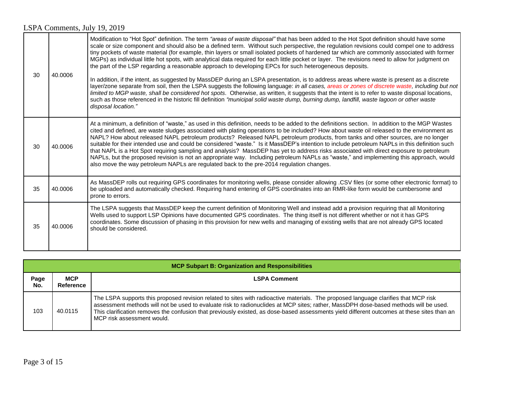| 30 | 40.0006 | Modification to "Hot Spot" definition. The term "areas of waste disposal" that has been added to the Hot Spot definition should have some<br>scale or size component and should also be a defined term. Without such perspective, the regulation revisions could compel one to address<br>tiny pockets of waste material (for example, thin layers or small isolated pockets of hardened tar which are commonly associated with former<br>MGPs) as individual little hot spots, with analytical data required for each little pocket or layer. The revisions need to allow for judgment on<br>the part of the LSP regarding a reasonable approach to developing EPCs for such heterogeneous deposits.<br>In addition, if the intent, as suggested by MassDEP during an LSPA presentation, is to address areas where waste is present as a discrete<br>layer/zone separate from soil, then the LSPA suggests the following language: in all cases, areas or zones of discrete waste, including but not<br>limited to MGP waste, shall be considered hot spots. Otherwise, as written, it suggests that the intent is to refer to waste disposal locations,<br>such as those referenced in the historic fill definition "municipal solid waste dump, burning dump, landfill, waste lagoon or other waste<br>disposal location." |
|----|---------|-------------------------------------------------------------------------------------------------------------------------------------------------------------------------------------------------------------------------------------------------------------------------------------------------------------------------------------------------------------------------------------------------------------------------------------------------------------------------------------------------------------------------------------------------------------------------------------------------------------------------------------------------------------------------------------------------------------------------------------------------------------------------------------------------------------------------------------------------------------------------------------------------------------------------------------------------------------------------------------------------------------------------------------------------------------------------------------------------------------------------------------------------------------------------------------------------------------------------------------------------------------------------------------------------------------------------------|
| 30 | 40.0006 | At a minimum, a definition of "waste," as used in this definition, needs to be added to the definitions section. In addition to the MGP Wastes<br>cited and defined, are waste sludges associated with plating operations to be included? How about waste oil released to the environment as<br>NAPL? How about released NAPL petroleum products? Released NAPL petroleum products, from tanks and other sources, are no longer<br>suitable for their intended use and could be considered "waste." Is it MassDEP's intention to include petroleum NAPLs in this definition such<br>that NAPL is a Hot Spot requiring sampling and analysis? MassDEP has yet to address risks associated with direct exposure to petroleum<br>NAPLs, but the proposed revision is not an appropriate way. Including petroleum NAPLs as "waste," and implementing this approach, would<br>also move the way petroleum NAPLs are regulated back to the pre-2014 regulation changes.                                                                                                                                                                                                                                                                                                                                                             |
| 35 | 40.0006 | As MassDEP rolls out requiring GPS coordinates for monitoring wells, please consider allowing .CSV files (or some other electronic format) to<br>be uploaded and automatically checked. Requiring hand entering of GPS coordinates into an RMR-like form would be cumbersome and<br>prone to errors.                                                                                                                                                                                                                                                                                                                                                                                                                                                                                                                                                                                                                                                                                                                                                                                                                                                                                                                                                                                                                          |
| 35 | 40.0006 | The LSPA suggests that MassDEP keep the current definition of Monitoring Well and instead add a provision requiring that all Monitoring<br>Wells used to support LSP Opinions have documented GPS coordinates. The thing itself is not different whether or not it has GPS<br>coordinates. Some discussion of phasing in this provision for new wells and managing of existing wells that are not already GPS located<br>should be considered.                                                                                                                                                                                                                                                                                                                                                                                                                                                                                                                                                                                                                                                                                                                                                                                                                                                                                |

| <b>MCP Subpart B: Organization and Responsibilities</b> |                         |                                                                                                                                                                                                                                                                                                                                                                                                                                                          |
|---------------------------------------------------------|-------------------------|----------------------------------------------------------------------------------------------------------------------------------------------------------------------------------------------------------------------------------------------------------------------------------------------------------------------------------------------------------------------------------------------------------------------------------------------------------|
| Page<br>No.                                             | <b>MCP</b><br>Reference | <b>LSPA Comment</b>                                                                                                                                                                                                                                                                                                                                                                                                                                      |
| 103                                                     | 40.0115                 | The LSPA supports this proposed revision related to sites with radioactive materials. The proposed language clarifies that MCP risk<br>assessment methods will not be used to evaluate risk to radionuclides at MCP sites; rather, MassDPH dose-based methods will be used.<br>This clarification removes the confusion that previously existed, as dose-based assessments yield different outcomes at these sites than an<br>MCP risk assessment would. |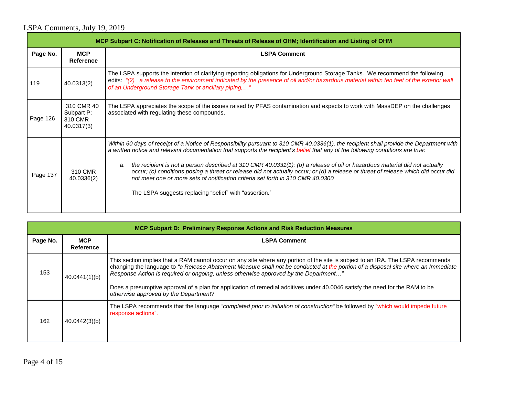| MCP Subpart C: Notification of Releases and Threats of Release of OHM; Identification and Listing of OHM |                                                   |                                                                                                                                                                                                                                                                                                                                                                                                                                                                                                                                                                                                                                                                                                   |  |
|----------------------------------------------------------------------------------------------------------|---------------------------------------------------|---------------------------------------------------------------------------------------------------------------------------------------------------------------------------------------------------------------------------------------------------------------------------------------------------------------------------------------------------------------------------------------------------------------------------------------------------------------------------------------------------------------------------------------------------------------------------------------------------------------------------------------------------------------------------------------------------|--|
| Page No.                                                                                                 | <b>MCP</b><br><b>Reference</b>                    | <b>LSPA Comment</b>                                                                                                                                                                                                                                                                                                                                                                                                                                                                                                                                                                                                                                                                               |  |
| 119                                                                                                      | 40.0313(2)                                        | The LSPA supports the intention of clarifying reporting obligations for Underground Storage Tanks. We recommend the following<br>edits: "(2) a release to the environment indicated by the presence of oil and/or hazardous material within ten feet of the exterior wall<br>of an Underground Storage Tank or ancillary piping,"                                                                                                                                                                                                                                                                                                                                                                 |  |
| Page 126                                                                                                 | 310 CMR 40<br>Subpart P;<br>310 CMR<br>40.0317(3) | The LSPA appreciates the scope of the issues raised by PFAS contamination and expects to work with MassDEP on the challenges<br>associated with regulating these compounds.                                                                                                                                                                                                                                                                                                                                                                                                                                                                                                                       |  |
| Page 137                                                                                                 | 310 CMR<br>40.0336(2)                             | Within 60 days of receipt of a Notice of Responsibility pursuant to 310 CMR 40.0336(1), the recipient shall provide the Department with<br>a written notice and relevant documentation that supports the recipient's belief that any of the following conditions are true:<br>the recipient is not a person described at 310 CMR 40.0331(1); (b) a release of oil or hazardous material did not actually<br>a.<br>occur; (c) conditions posing a threat or release did not actually occur; or (d) a release or threat of release which did occur did<br>not meet one or more sets of notification criteria set forth in 310 CMR 40.0300<br>The LSPA suggests replacing "belief" with "assertion." |  |

| MCP Subpart D: Preliminary Response Actions and Risk Reduction Measures |                         |                                                                                                                                                                                                                                                                                                                                                                                                                                                                                                                                        |  |
|-------------------------------------------------------------------------|-------------------------|----------------------------------------------------------------------------------------------------------------------------------------------------------------------------------------------------------------------------------------------------------------------------------------------------------------------------------------------------------------------------------------------------------------------------------------------------------------------------------------------------------------------------------------|--|
| Page No.                                                                | <b>MCP</b><br>Reference | <b>LSPA Comment</b>                                                                                                                                                                                                                                                                                                                                                                                                                                                                                                                    |  |
| 153                                                                     | 40.0441(1)(b)           | This section implies that a RAM cannot occur on any site where any portion of the site is subject to an IRA. The LSPA recommends<br>changing the language to "a Release Abatement Measure shall not be conducted at the portion of a disposal site where an Immediate<br>Response Action is required or ongoing, unless otherwise approved by the Department"<br>Does a presumptive approval of a plan for application of remedial additives under 40.0046 satisfy the need for the RAM to be<br>otherwise approved by the Department? |  |
| 162                                                                     | 40.0442(3)(b)           | The LSPA recommends that the language "completed prior to initiation of construction" be followed by "which would impede future<br>response actions".                                                                                                                                                                                                                                                                                                                                                                                  |  |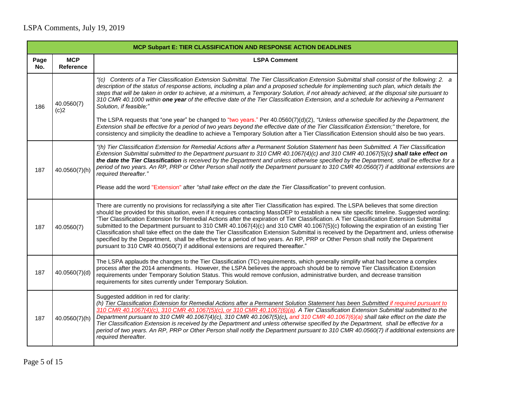|             | <b>MCP Subpart E: TIER CLASSIFICATION AND RESPONSE ACTION DEADLINES</b> |                                                                                                                                                                                                                                                                                                                                                                                                                                                                                                                                                                                                                                                                                                                                                                                                                                                                                                                                                        |  |  |
|-------------|-------------------------------------------------------------------------|--------------------------------------------------------------------------------------------------------------------------------------------------------------------------------------------------------------------------------------------------------------------------------------------------------------------------------------------------------------------------------------------------------------------------------------------------------------------------------------------------------------------------------------------------------------------------------------------------------------------------------------------------------------------------------------------------------------------------------------------------------------------------------------------------------------------------------------------------------------------------------------------------------------------------------------------------------|--|--|
| Page<br>No. | <b>MCP</b><br><b>Reference</b>                                          | <b>LSPA Comment</b>                                                                                                                                                                                                                                                                                                                                                                                                                                                                                                                                                                                                                                                                                                                                                                                                                                                                                                                                    |  |  |
| 186         | 40.0560(7)<br>(c)2                                                      | "(c) Contents of a Tier Classification Extension Submittal. The Tier Classification Extension Submittal shall consist of the following: 2. a<br>description of the status of response actions, including a plan and a proposed schedule for implementing such plan, which details the<br>steps that will be taken in order to achieve, at a minimum, a Temporary Solution, if not already achieved, at the disposal site pursuant to<br>310 CMR 40.1000 within one year of the effective date of the Tier Classification Extension, and a schedule for achieving a Permanent<br>Solution, if feasible;"                                                                                                                                                                                                                                                                                                                                                |  |  |
|             |                                                                         | The LSPA requests that "one year" be changed to "two years." Per 40.0560(7)(d)(2), "Unless otherwise specified by the Department, the<br>Extension shall be effective for a period of two years beyond the effective date of the Tier Classification Extension;" therefore, for<br>consistency and simplicity the deadline to achieve a Temporary Solution after a Tier Classification Extension should also be two years.                                                                                                                                                                                                                                                                                                                                                                                                                                                                                                                             |  |  |
| 187         | 40.0560(7)(h)                                                           | "(h) Tier Classification Extension for Remedial Actions after a Permanent Solution Statement has been Submitted. A Tier Classification<br>Extension Submittal submitted to the Department pursuant to 310 CMR 40.1067(4)(c) and 310 CMR 40.1067(5)(c) shall take effect on<br>the date the Tier Classification is received by the Department and unless otherwise specified by the Department, shall be effective for a<br>period of two years. An RP, PRP or Other Person shall notify the Department pursuant to 310 CMR 40.0560(7) if additional extensions are<br>required thereafter."<br>Please add the word "Extension" after "shall take effect on the date the Tier Classification" to prevent confusion.                                                                                                                                                                                                                                     |  |  |
|             |                                                                         |                                                                                                                                                                                                                                                                                                                                                                                                                                                                                                                                                                                                                                                                                                                                                                                                                                                                                                                                                        |  |  |
| 187         | 40.0560(7)                                                              | There are currently no provisions for reclassifying a site after Tier Classification has expired. The LSPA believes that some direction<br>should be provided for this situation, even if it requires contacting MassDEP to establish a new site specific timeline. Suggested wording:<br>"Tier Classification Extension for Remedial Actions after the expiration of Tier Classification. A Tier Classification Extension Submittal<br>submitted to the Department pursuant to 310 CMR 40.1067(4)(c) and 310 CMR 40.1067(5)(c) following the expiration of an existing Tier<br>Classification shall take effect on the date the Tier Classification Extension Submittal is received by the Department and, unless otherwise<br>specified by the Department, shall be effective for a period of two years. An RP, PRP or Other Person shall notify the Department<br>pursuant to 310 CMR 40.0560(7) if additional extensions are required thereafter." |  |  |
| 187         | 40.0560(7)(d)                                                           | The LSPA applauds the changes to the Tier Classification (TC) requirements, which generally simplify what had become a complex<br>process after the 2014 amendments. However, the LSPA believes the approach should be to remove Tier Classification Extension<br>requirements under Temporary Solution Status. This would remove confusion, administrative burden, and decrease transition<br>requirements for sites currently under Temporary Solution.                                                                                                                                                                                                                                                                                                                                                                                                                                                                                              |  |  |
| 187         | 40.0560(7)(h)                                                           | Suggested addition in red for clarity:<br>(h) Tier Classification Extension for Remedial Actions after a Permanent Solution Statement has been Submitted if required pursuant to<br>310 CMR 40.1067(4)(c), 310 CMR 40.1067(5)(c), or 310 CMR 40.1067(6)(a). A Tier Classification Extension Submittal submitted to the<br>Department pursuant to 310 CMR 40.1067(4)(c), 310 CMR 40.1067(5)(c), and 310 CMR 40.1067(6)(a) shall take effect on the date the<br>Tier Classification Extension is received by the Department and unless otherwise specified by the Department, shall be effective for a<br>period of two years. An RP, PRP or Other Person shall notify the Department pursuant to 310 CMR 40.0560(7) if additional extensions are<br>required thereafter.                                                                                                                                                                                |  |  |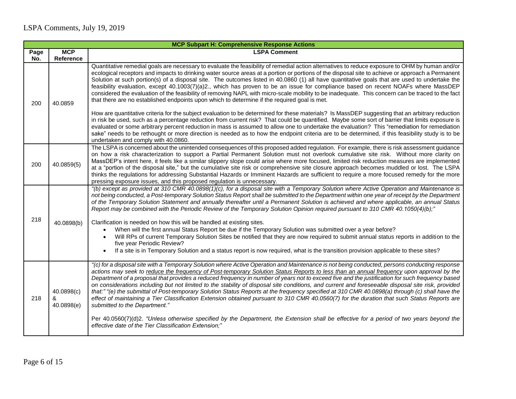|      | <b>MCP Subpart H: Comprehensive Response Actions</b> |                                                                                                                                                                                                                                                                                                                                                                                                                                                                                                                                                                                                                                                                                                                                                                                                                                                                                                                                                                                                                                                                                                                                            |  |  |
|------|------------------------------------------------------|--------------------------------------------------------------------------------------------------------------------------------------------------------------------------------------------------------------------------------------------------------------------------------------------------------------------------------------------------------------------------------------------------------------------------------------------------------------------------------------------------------------------------------------------------------------------------------------------------------------------------------------------------------------------------------------------------------------------------------------------------------------------------------------------------------------------------------------------------------------------------------------------------------------------------------------------------------------------------------------------------------------------------------------------------------------------------------------------------------------------------------------------|--|--|
| Page | <b>MCP</b>                                           | <b>LSPA Comment</b>                                                                                                                                                                                                                                                                                                                                                                                                                                                                                                                                                                                                                                                                                                                                                                                                                                                                                                                                                                                                                                                                                                                        |  |  |
| No.  | Reference                                            |                                                                                                                                                                                                                                                                                                                                                                                                                                                                                                                                                                                                                                                                                                                                                                                                                                                                                                                                                                                                                                                                                                                                            |  |  |
| 200  | 40.0859                                              | Quantitative remedial goals are necessary to evaluate the feasibility of remedial action alternatives to reduce exposure to OHM by human and/or<br>ecological receptors and impacts to drinking water source areas at a portion or portions of the disposal site to achieve or approach a Permanent<br>Solution at such portion(s) of a disposal site. The outcomes listed in 40.0860 (1) all have quantitative goals that are used to undertake the<br>feasibility evaluation, except 40.1003(7)(a)2., which has proven to be an issue for compliance based on recent NOAFs where MassDEP<br>considered the evaluation of the feasibility of removing NAPL with micro-scale mobility to be inadequate. This concern can be traced to the fact<br>that there are no established endpoints upon which to determine if the required goal is met.                                                                                                                                                                                                                                                                                             |  |  |
|      |                                                      | How are quantitative criteria for the subject evaluation to be determined for these materials? Is MassDEP suggesting that an arbitrary reduction<br>in risk be used, such as a percentage reduction from current risk? That could be quantified. Maybe some sort of barrier that limits exposure is<br>evaluated or some arbitrary percent reduction in mass is assumed to allow one to undertake the evaluation? This "remediation for remediation<br>sake" needs to be rethought or more direction is needed as to how the endpoint criteria are to be determined, if this feasibility study is to be<br>undertaken and comply with 40.0860.                                                                                                                                                                                                                                                                                                                                                                                                                                                                                             |  |  |
| 200  | 40.0859(5)                                           | The LSPA is concerned about the unintended consequences of this proposed added regulation. For example, there is risk assessment guidance<br>on how a risk characterization to support a Partial Permanent Solution must not overlook cumulative site risk. Without more clarity on<br>MassDEP's intent here, it feels like a similar slippery slope could arise where more focused, limited risk reduction measures are implemented<br>at a "portion of the disposal site," but the cumulative site risk or comprehensive site closure approach becomes muddled or lost. The LSPA<br>thinks the regulations for addressing Substantial Hazards or Imminent Hazards are sufficient to require a more focused remedy for the more<br>pressing exposure issues, and this proposed regulation is unnecessary.                                                                                                                                                                                                                                                                                                                                 |  |  |
| 218  | 40.0898(b)                                           | "(b) except as provided at 310 CMR 40.0898(1)(c), for a disposal site with a Temporary Solution where Active Operation and Maintenance is<br>not being conducted, a Post-temporary Solution Status Report shall be submitted to the Department within one year of receipt by the Department<br>of the Temporary Solution Statement and annually thereafter until a Permanent Solution is achieved and where applicable, an annual Status<br>Report may be combined with the Periodic Review of the Temporary Solution Opinion required pursuant to 310 CMR 40.1050(4)(b);"<br>Clarification is needed on how this will be handled at existing sites.<br>When will the first annual Status Report be due if the Temporary Solution was submitted over a year before?<br>Will RPs of current Temporary Solution Sites be notified that they are now required to submit annual status reports in addition to the<br>five year Periodic Review?<br>If a site is in Temporary Solution and a status report is now required, what is the transition provision applicable to these sites?                                                         |  |  |
| 218  | 40.0898(c)<br>&<br>40.0898(e)                        | "(c) for a disposal site with a Temporary Solution where Active Operation and Maintenance is not being conducted, persons conducting response<br>actions may seek to reduce the frequency of Post-temporary Solution Status Reports to less than an annual frequency upon approval by the<br>Department of a proposal that provides a reduced frequency in number of years not to exceed five and the justification for such frequency based<br>on considerations including but not limited to the stability of disposal site conditions, and current and foreseeable disposal site risk, provided<br>that:" "(e) the submittal of Post-temporary Solution Status Reports at the frequency specified at 310 CMR 40.0898(a) through (c) shall have the<br>effect of maintaining a Tier Classification Extension obtained pursuant to 310 CMR 40.0560(7) for the duration that such Status Reports are<br>submitted to the Department."<br>Per 40.0560(7)(d)2. "Unless otherwise specified by the Department, the Extension shall be effective for a period of two years beyond the<br>effective date of the Tier Classification Extension;" |  |  |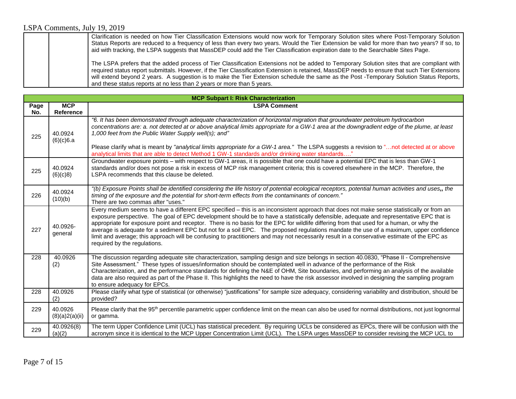| Clarification is needed on how Tier Classification Extensions would now work for Temporary Solution sites where Post-Temporary Solution<br>Status Reports are reduced to a frequency of less than every two years. Would the Tier Extension be valid for more than two years? If so, to<br>aid with tracking, the LSPA suggests that MassDEP could add the Tier Classification expiration date to the Searchable Sites Page.                                                                                        |
|---------------------------------------------------------------------------------------------------------------------------------------------------------------------------------------------------------------------------------------------------------------------------------------------------------------------------------------------------------------------------------------------------------------------------------------------------------------------------------------------------------------------|
| The LSPA prefers that the added process of Tier Classification Extensions not be added to Temporary Solution sites that are compliant with<br>required status report submittals. However, if the Tier Classification Extension is retained, MassDEP needs to ensure that such Tier Extensions<br>will extend beyond 2 years. A suggestion is to make the Tier Extension schedule the same as the Post -Temporary Solution Status Reports,<br>and these status reports at no less than 2 years or more than 5 years. |

|      | <b>MCP Subpart I: Risk Characterization</b> |                                                                                                                                                                                                                                                                                                                                                                                                                                                                                                                                                                                                                                                                                                                                                           |  |  |
|------|---------------------------------------------|-----------------------------------------------------------------------------------------------------------------------------------------------------------------------------------------------------------------------------------------------------------------------------------------------------------------------------------------------------------------------------------------------------------------------------------------------------------------------------------------------------------------------------------------------------------------------------------------------------------------------------------------------------------------------------------------------------------------------------------------------------------|--|--|
| Page | <b>MCP</b>                                  | <b>LSPA Comment</b>                                                                                                                                                                                                                                                                                                                                                                                                                                                                                                                                                                                                                                                                                                                                       |  |  |
| No.  | Reference                                   |                                                                                                                                                                                                                                                                                                                                                                                                                                                                                                                                                                                                                                                                                                                                                           |  |  |
| 225  | 40.0924<br>(6)(c)6.a                        | "6. It has been demonstrated through adequate characterization of horizontal migration that groundwater petroleum hydrocarbon<br>concentrations are: a. not detected at or above analytical limits appropriate for a GW-1 area at the downgradient edge of the plume, at least<br>1,000 feet from the Public Water Supply well(s); and"<br>Please clarify what is meant by "analytical limits appropriate for a GW-1 area." The LSPA suggests a revision to "not detected at or above                                                                                                                                                                                                                                                                     |  |  |
|      |                                             | analytical limits that are able to detect Method 1 GW-1 standards and/or drinking water standards"                                                                                                                                                                                                                                                                                                                                                                                                                                                                                                                                                                                                                                                        |  |  |
| 225  | 40.0924<br>(6)(c)8)                         | Groundwater exposure points - with respect to GW-1 areas, it is possible that one could have a potential EPC that is less than GW-1<br>standards and/or does not pose a risk in excess of MCP risk management criteria; this is covered elsewhere in the MCP. Therefore, the<br>LSPA recommends that this clause be deleted.                                                                                                                                                                                                                                                                                                                                                                                                                              |  |  |
| 226  | 40.0924<br>(10)(b)                          | "(b) Exposure Points shall be identified considering the life history of potential ecological receptors, potential human activities and uses,, the<br>timing of the exposure and the potential for short-term effects from the contaminants of concern."<br>There are two commas after "uses."                                                                                                                                                                                                                                                                                                                                                                                                                                                            |  |  |
| 227  | 40.0926-<br>general                         | Every medium seems to have a different EPC specified - this is an inconsistent approach that does not make sense statistically or from an<br>exposure perspective. The goal of EPC development should be to have a statistically defensible, adequate and representative EPC that is<br>appropriate for exposure point and receptor. There is no basis for the EPC for wildlife differing from that used for a human, or why the<br>average is adequate for a sediment EPC but not for a soil EPC. The proposed regulations mandate the use of a maximum, upper confidence<br>limit and average; this approach will be confusing to practitioners and may not necessarily result in a conservative estimate of the EPC as<br>required by the regulations. |  |  |
| 228  | 40.0926<br>(2)                              | The discussion regarding adequate site characterization, sampling design and size belongs in section 40.0830, "Phase II - Comprehensive<br>Site Assessment." These types of issues/information should be contemplated well in advance of the performance of the Risk<br>Characterization, and the performance standards for defining the N&E of OHM, Site boundaries, and performing an analysis of the available<br>data are also required as part of the Phase II. This highlights the need to have the risk assessor involved in designing the sampling program<br>to ensure adequacy for EPCs.                                                                                                                                                        |  |  |
| 228  | 40.0926<br>(2)                              | Please clarify what type of statistical (or otherwise) "justifications" for sample size adequacy, considering variability and distribution, should be<br>provided?                                                                                                                                                                                                                                                                                                                                                                                                                                                                                                                                                                                        |  |  |
| 229  | 40.0926<br>(8)(a)2(a)(ii)                   | Please clarify that the 95 <sup>th</sup> percentile parametric upper confidence limit on the mean can also be used for normal distributions, not just lognormal<br>or gamma.                                                                                                                                                                                                                                                                                                                                                                                                                                                                                                                                                                              |  |  |
| 229  | 40.0926(8)<br>(a)(2)                        | The term Upper Confidence Limit (UCL) has statistical precedent. By requiring UCLs be considered as EPCs, there will be confusion with the<br>acronym since it is identical to the MCP Upper Concentration Limit (UCL). The LSPA urges MassDEP to consider revising the MCP UCL to                                                                                                                                                                                                                                                                                                                                                                                                                                                                        |  |  |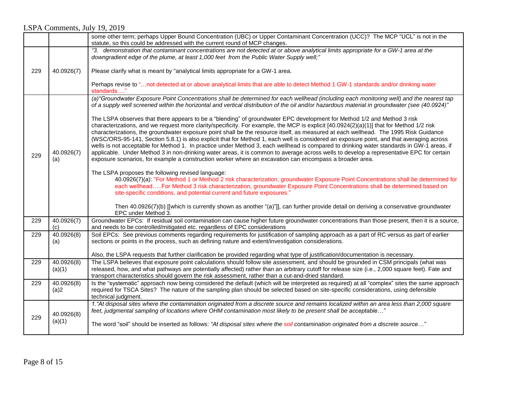|     |                      | some other term; perhaps Upper Bound Concentration (UBC) or Upper Contaminant Concentration (UCC)? The MCP "UCL" is not in the<br>statute, so this could be addressed with the current round of MCP changes.                                                                                                                                                                                                                                                                                                                                                                                                                                                                                                                                                                                                                                                                                                                                                |
|-----|----------------------|-------------------------------------------------------------------------------------------------------------------------------------------------------------------------------------------------------------------------------------------------------------------------------------------------------------------------------------------------------------------------------------------------------------------------------------------------------------------------------------------------------------------------------------------------------------------------------------------------------------------------------------------------------------------------------------------------------------------------------------------------------------------------------------------------------------------------------------------------------------------------------------------------------------------------------------------------------------|
|     |                      | "3. demonstration that contaminant concentrations are not detected at or above analytical limits appropriate for a GW-1 area at the<br>downgradient edge of the plume, at least 1,000 feet from the Public Water Supply well;"                                                                                                                                                                                                                                                                                                                                                                                                                                                                                                                                                                                                                                                                                                                              |
| 229 | 40.0926(7)           | Please clarify what is meant by "analytical limits appropriate for a GW-1 area.                                                                                                                                                                                                                                                                                                                                                                                                                                                                                                                                                                                                                                                                                                                                                                                                                                                                             |
|     |                      | Perhaps revise to "not detected at or above analytical limits that are able to detect Method 1 GW-1 standards and/or drinking water<br>standards"                                                                                                                                                                                                                                                                                                                                                                                                                                                                                                                                                                                                                                                                                                                                                                                                           |
|     |                      | (a) "Groundwater Exposure Point Concentrations shall be determined for each wellhead (including each monitoring well) and the nearest tap<br>of a supply well screened within the horizontal and vertical distribution of the oil and/or hazardous material in groundwater (see (40.0924)"                                                                                                                                                                                                                                                                                                                                                                                                                                                                                                                                                                                                                                                                  |
| 229 | 40.0926(7)<br>(a)    | The LSPA observes that there appears to be a "blending" of groundwater EPC development for Method 1/2 and Method 3 risk<br>characterizations, and we request more clarity/specificity. For example, the MCP is explicit [40.0924(2)(a)(1)] that for Method 1/2 risk<br>characterizations, the groundwater exposure point shall be the resource itself, as measured at each wellhead. The 1995 Risk Guidance<br>(WSC/ORS-95-141, Section 5.8.1) is also explicit that for Method 1, each well is considered an exposure point, and that averaging across<br>wells is not acceptable for Method 1. In practice under Method 3, each wellhead is compared to drinking water standards in GW-1 areas, if<br>applicable. Under Method 3 in non-drinking water areas, it is common to average across wells to develop a representative EPC for certain<br>exposure scenarios, for example a construction worker where an excavation can encompass a broader area. |
|     |                      | The LSPA proposes the following revised language:<br>40.0926(7)(a): "For Method 1 or Method 2 risk characterization, groundwater Exposure Point Concentrations shall be determined for<br>each wellheadFor Method 3 risk characterization, groundwater Exposure Point Concentrations shall be determined based on<br>site-specific conditions, and potential current and future exposures."                                                                                                                                                                                                                                                                                                                                                                                                                                                                                                                                                                 |
|     |                      | Then 40.0926(7)(b) [[which is currently shown as another "(a)"]], can further provide detail on deriving a conservative groundwater<br>EPC under Method 3.                                                                                                                                                                                                                                                                                                                                                                                                                                                                                                                                                                                                                                                                                                                                                                                                  |
| 229 | 40.0926(7)<br>(c)    | Groundwater EPCs: If residual soil contamination can cause higher future groundwater concentrations than those present, then it is a source,<br>and needs to be controlled/mitigated etc. regardless of EPC considerations                                                                                                                                                                                                                                                                                                                                                                                                                                                                                                                                                                                                                                                                                                                                  |
| 229 | 40.0926(8)<br>(a)    | Soil EPCs: See previous comments regarding requirements for justification of sampling approach as a part of RC versus as part of earlier<br>sections or points in the process, such as defining nature and extent/investigation considerations.                                                                                                                                                                                                                                                                                                                                                                                                                                                                                                                                                                                                                                                                                                             |
|     |                      | Also, the LSPA requests that further clarification be provided regarding what type of justification/documentation is necessary.                                                                                                                                                                                                                                                                                                                                                                                                                                                                                                                                                                                                                                                                                                                                                                                                                             |
| 229 | 40.0926(8)<br>(a)(1) | The LSPA believes that exposure point calculations should follow site assessment, and should be grounded in CSM principals (what was<br>released, how, and what pathways are potentially affected) rather than an arbitrary cutoff for release size (i.e., 2,000 square feet). Fate and<br>transport characteristics should govern the risk assessment, rather than a cut-and-dried standard.                                                                                                                                                                                                                                                                                                                                                                                                                                                                                                                                                               |
| 229 | 40.0926(8)<br>(a)2   | Is the "systematic" approach now being considered the default (which will be interpreted as required) at all "complex" sites the same approach<br>required for TSCA Sites? The nature of the sampling plan should be selected based on site-specific considerations, using defensible<br>technical judgment.                                                                                                                                                                                                                                                                                                                                                                                                                                                                                                                                                                                                                                                |
|     | 40.0926(8)           | 1. "At disposal sites where the contamination originated from a discrete source and remains localized within an area less than 2,000 square<br>feet, judgmental sampling of locations where OHM contamination most likely to be present shall be acceptable"                                                                                                                                                                                                                                                                                                                                                                                                                                                                                                                                                                                                                                                                                                |
| 229 | (a)(1)               | The word "soil" should be inserted as follows: "At disposal sites where the soil contamination originated from a discrete source"                                                                                                                                                                                                                                                                                                                                                                                                                                                                                                                                                                                                                                                                                                                                                                                                                           |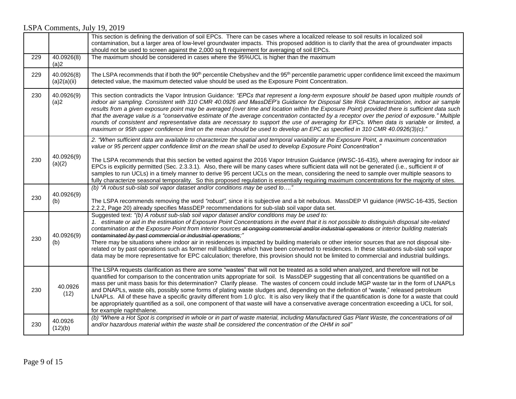|     |                           | This section is defining the derivation of soil EPCs. There can be cases where a localized release to soil results in localized soil<br>contamination, but a larger area of low-level groundwater impacts. This proposed addition is to clarify that the area of groundwater impacts<br>should not be used to screen against the 2,000 sq ft requirement for averaging of soil EPCs.                                                                                                                                                                                                                                                                                                                                                                                                                                                                                                                            |
|-----|---------------------------|-----------------------------------------------------------------------------------------------------------------------------------------------------------------------------------------------------------------------------------------------------------------------------------------------------------------------------------------------------------------------------------------------------------------------------------------------------------------------------------------------------------------------------------------------------------------------------------------------------------------------------------------------------------------------------------------------------------------------------------------------------------------------------------------------------------------------------------------------------------------------------------------------------------------|
| 229 | 40.0926(8)<br>(a)2        | The maximum should be considered in cases where the 95% UCL is higher than the maximum                                                                                                                                                                                                                                                                                                                                                                                                                                                                                                                                                                                                                                                                                                                                                                                                                          |
| 229 | 40.0926(8)<br>(a)2(a)(ii) | The LSPA recommends that if both the 90 <sup>th</sup> percentile Chebyshev and the 95 <sup>th</sup> percentile parametric upper confidence limit exceed the maximum<br>detected value, the maximum detected value should be used as the Exposure Point Concentration.                                                                                                                                                                                                                                                                                                                                                                                                                                                                                                                                                                                                                                           |
| 230 | 40.0926(9)<br>(a)2        | This section contradicts the Vapor Intrusion Guidance: "EPCs that represent a long-term exposure should be based upon multiple rounds of<br>indoor air sampling. Consistent with 310 CMR 40.0926 and MassDEP's Guidance for Disposal Site Risk Characterization, indoor air sample<br>results from a given exposure point may be averaged (over time and location within the Exposure Point) provided there is sufficient data such<br>that the average value is a "conservative estimate of the average concentration contacted by a receptor over the period of exposure." Multiple<br>rounds of consistent and representative data are necessary to support the use of averaging for EPCs. When data is variable or limited, a<br>maximum or 95th upper confidence limit on the mean should be used to develop an EPC as specified in 310 CMR 40.0926(3)(c)."                                                |
|     |                           | 2. "When sufficient data are available to characterize the spatial and temporal variability at the Exposure Point, a maximum concentration<br>value or 95 percent upper confidence limit on the mean shall be used to develop Exposure Point Concentration"                                                                                                                                                                                                                                                                                                                                                                                                                                                                                                                                                                                                                                                     |
| 230 | 40.0926(9)<br>(a)(2)      | The LSPA recommends that this section be vetted against the 2016 Vapor Intrusion Guidance (#WSC-16-435), where averaging for indoor air<br>EPCs is explicitly permitted (Sec. 2.3.3.1). Also, there will be many cases where sufficient data will not be generated (i.e., sufficient # of<br>samples to run UCLs) in a timely manner to derive 95 percent UCLs on the mean, considering the need to sample over multiple seasons to<br>fully characterize seasonal temporality. So this proposed regulation is essentially requiring maximum concentrations for the majority of sites.                                                                                                                                                                                                                                                                                                                          |
| 230 | 40.0926(9)                | (b) "A robust sub-slab soil vapor dataset and/or conditions may be used to"                                                                                                                                                                                                                                                                                                                                                                                                                                                                                                                                                                                                                                                                                                                                                                                                                                     |
|     | (b)                       | The LSPA recommends removing the word "robust", since it is subjective and a bit nebulous. MassDEP VI guidance (#WSC-16-435, Section<br>2.2.2, Page 20) already specifies MassDEP recommendations for sub-slab soil vapor data set.                                                                                                                                                                                                                                                                                                                                                                                                                                                                                                                                                                                                                                                                             |
| 230 | 40.0926(9)<br>(b)         | Suggested text: "(b) A robust sub-slab soil vapor dataset and/or conditions may be used to:<br>1. estimate or aid in the estimation of Exposure Point Concentrations in the event that it is not possible to distinguish disposal site-related<br>contamination at the Exposure Point from interior sources at ongoing commercial and/or industrial operations or interior building materials<br>contaminated by past commercial or industrial operations;"<br>There may be situations where indoor air in residences is impacted by building materials or other interior sources that are not disposal site-<br>related or by past operations such as former mill buildings which have been converted to residences. In these situations sub-slab soil vapor<br>data may be more representative for EPC calculation; therefore, this provision should not be limited to commercial and industrial buildings.   |
| 230 | 40.0926<br>(12)           | The LSPA requests clarification as there are some "wastes" that will not be treated as a solid when analyzed, and therefore will not be<br>quantified for comparison to the concentration units appropriate for soil. Is MassDEP suggesting that all concentrations be quantified on a<br>mass per unit mass basis for this determination? Clarify please. The wastes of concern could include MGP waste tar in the form of LNAPLs<br>and DNAPLs, waste oils, possibly some forms of plating waste sludges and, depending on the definition of "waste," released petroleum<br>LNAPLs. All of these have a specific gravity different from 1.0 g/cc. It is also very likely that if the quantification is done for a waste that could<br>be appropriately quantified as a soil, one component of that waste will have a conservative average concentration exceeding a UCL for soil,<br>for example naphthalene. |
| 230 | 40.0926<br>(12)(b)        | (b) "Where a Hot Spot is comprised in whole or in part of waste material, including Manufactured Gas Plant Waste, the concentrations of oil<br>and/or hazardous material within the waste shall be considered the concentration of the OHM in soil"                                                                                                                                                                                                                                                                                                                                                                                                                                                                                                                                                                                                                                                             |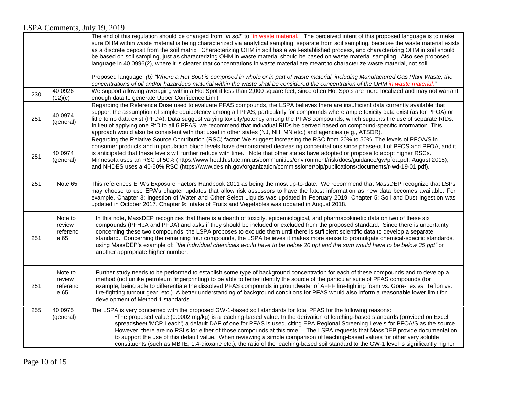|     |                                       | The end of this regulation should be changed from "in soil" to "in waste material." The perceived intent of this proposed language is to make<br>sure OHM within waste material is being characterized via analytical sampling, separate from soil sampling, because the waste material exists<br>as a discrete deposit from the soil matrix. Characterizing OHM in soil has a well-established process, and characterizing OHM in soil should<br>be based on soil sampling, just as characterizing OHM in waste material should be based on waste material sampling. Also see proposed<br>language in 40.0996(2), where it is clearer that concentrations in waste material are meant to characterize waste material, not soil.                                                                |
|-----|---------------------------------------|-------------------------------------------------------------------------------------------------------------------------------------------------------------------------------------------------------------------------------------------------------------------------------------------------------------------------------------------------------------------------------------------------------------------------------------------------------------------------------------------------------------------------------------------------------------------------------------------------------------------------------------------------------------------------------------------------------------------------------------------------------------------------------------------------|
|     |                                       | Proposed language: (b) "Where a Hot Spot is comprised in whole or in part of waste material, including Manufactured Gas Plant Waste, the<br>concentrations of oil and/or hazardous material within the waste shall be considered the concentration of the OHM in waste material."                                                                                                                                                                                                                                                                                                                                                                                                                                                                                                               |
| 230 | 40.0926<br>(12)(c)                    | We support allowing averaging within a Hot Spot if less than 2,000 square feet, since often Hot Spots are more localized and may not warrant<br>enough data to generate Upper Confidence Limit.                                                                                                                                                                                                                                                                                                                                                                                                                                                                                                                                                                                                 |
| 251 | 40.0974<br>(general)                  | Regarding the Reference Dose used to evaluate PFAS compounds, the LSPA believes there are insufficient data currently available that<br>support the assumption of simple equipotency among all PFAS, particularly for compounds where ample toxicity data exist (as for PFOA) or<br>little to no data exist (PFDA). Data suggest varying toxicity/potency among the PFAS compounds, which supports the use of separate RfDs.<br>In lieu of applying one RfD to all 6 PFAS, we recommend that individual RfDs be derived based on compound-specific information. This<br>approach would also be consistent with that used in other states (NJ, NH, MN etc.) and agencies (e.g., ATSDR).                                                                                                          |
| 251 | 40.0974<br>(general)                  | Regarding the Relative Source Contribution (RSC) factor: We suggest increasing the RSC from 20% to 50%. The levels of PFOA/S in<br>consumer products and in population blood levels have demonstrated decreasing concentrations since phase-out of PFOS and PFOA, and it<br>is anticipated that these levels will further reduce with time. Note that other states have adopted or propose to adopt higher RSCs.<br>Minnesota uses an RSC of 50% (https://www.health.state.mn.us/communities/environment/risk/docs/guidance/gw/pfoa.pdf; August 2018),<br>and NHDES uses a 40-50% RSC (https://www.des.nh.gov/organization/commissioner/pip/publications/documents/r-wd-19-01.pdf).                                                                                                             |
| 251 | Note 65                               | This references EPA's Exposure Factors Handbook 2011 as being the most up-to-date. We recommend that MassDEP recognize that LSPs<br>may choose to use EPA's chapter updates that allow risk assessors to have the latest information as new data becomes available. For<br>example, Chapter 3: Ingestion of Water and Other Select Liquids was updated in February 2019. Chapter 5: Soil and Dust Ingestion was<br>updated in October 2017. Chapter 9: Intake of Fruits and Vegetables was updated in August 2018.                                                                                                                                                                                                                                                                              |
| 251 | Note to<br>review<br>referenc<br>e 65 | In this note, MassDEP recognizes that there is a dearth of toxicity, epidemiological, and pharmacokinetic data on two of these six<br>compounds (PFHpA and PFDA) and asks if they should be included or excluded from the proposed standard. Since there is uncertainty<br>concerning these two compounds, the LSPA proposes to exclude them until there is sufficient scientific data to develop a separate<br>standard. Concerning the remaining four compounds, the LSPA believes it makes more sense to promulgate chemical-specific standards,<br>using MassDEP's example of: "the individual chemicals would have to be below 20 ppt and the sum would have to be below 35 ppt" or<br>another appropriate higher number.                                                                  |
| 251 | Note to<br>review<br>referenc<br>e 65 | Further study needs to be performed to establish some type of background concentration for each of these compounds and to develop a<br>method (not unlike petroleum fingerprinting) to be able to better identify the source of the particular suite of PFAS compounds (for<br>example, being able to differentiate the dissolved PFAS compounds in groundwater of AFFF fire-fighting foam vs. Gore-Tex vs. Teflon vs.<br>fire-fighting turnout gear, etc.) A better understanding of background conditions for PFAS would also inform a reasonable lower limit for<br>development of Method 1 standards.                                                                                                                                                                                       |
| 255 | 40.0975<br>(general)                  | The LSPA is very concerned with the proposed GW-1-based soil standards for total PFAS for the following reasons:<br>•The proposed value (0.0002 mg/kg) is a leaching-based value. In the derivation of leaching-based standards (provided on Excel<br>spreadsheet 'MCP Leach') a default DAF of one for PFAS is used, citing EPA Regional Screening Levels for PFOA/S as the source.<br>However, there are no RSLs for either of those compounds at this time. - The LSPA requests that MassDEP provide documentation<br>to support the use of this default value. When reviewing a simple comparison of leaching-based values for other very soluble<br>constituents (such as MBTE, 1,4-dioxane etc.), the ratio of the leaching-based soil standard to the GW-1 level is significantly higher |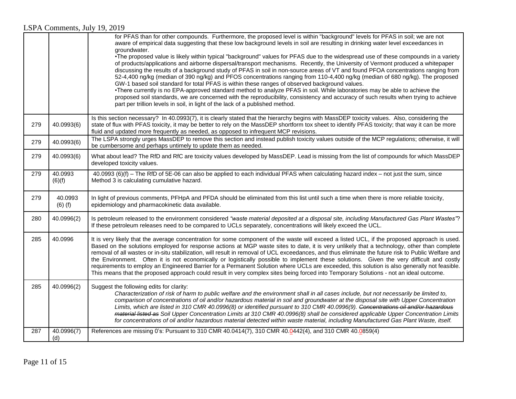|     |                        | for PFAS than for other compounds. Furthermore, the proposed level is within "background" levels for PFAS in soil; we are not<br>aware of empirical data suggesting that these low background levels in soil are resulting in drinking water level exceedances in<br>groundwater.<br>•The proposed value is likely within typical "background" values for PFAS due to the widespread use of these compounds in a variety<br>of products/applications and airborne dispersal/transport mechanisms. Recently, the University of Vermont produced a whitepaper<br>discussing the results of a background study of PFAS in soil in non-source areas of VT and found PFOA concentrations ranging from<br>52-4,400 ng/kg (median of 390 ng/kg) and PFOS concentrations ranging from 110-4,400 ng/kg (median of 680 ng/kg). The proposed<br>GW-1 based soil standard for total PFAS is within these ranges of observed background values.<br>•There currently is no EPA-approved standard method to analyze PFAS in soil. While laboratories may be able to achieve the<br>proposed soil standards, we are concerned with the reproducibility, consistency and accuracy of such results when trying to achieve<br>part per trillion levels in soil, in light of the lack of a published method. |
|-----|------------------------|------------------------------------------------------------------------------------------------------------------------------------------------------------------------------------------------------------------------------------------------------------------------------------------------------------------------------------------------------------------------------------------------------------------------------------------------------------------------------------------------------------------------------------------------------------------------------------------------------------------------------------------------------------------------------------------------------------------------------------------------------------------------------------------------------------------------------------------------------------------------------------------------------------------------------------------------------------------------------------------------------------------------------------------------------------------------------------------------------------------------------------------------------------------------------------------------------------------------------------------------------------------------------------------|
| 279 | 40.0993(6)             | Is this section necessary? In 40.0993(7), it is clearly stated that the hierarchy begins with MassDEP toxicity values. Also, considering the<br>state of flux with PFAS toxicity, it may be better to rely on the MassDEP shortform tox sheet to identify PFAS toxicity; that way it can be more<br>fluid and updated more frequently as needed, as opposed to infrequent MCP revisions.                                                                                                                                                                                                                                                                                                                                                                                                                                                                                                                                                                                                                                                                                                                                                                                                                                                                                                 |
| 279 | 40.0993(6)             | The LSPA strongly urges MassDEP to remove this section and instead publish toxicity values outside of the MCP regulations; otherwise, it will<br>be cumbersome and perhaps untimely to update them as needed.                                                                                                                                                                                                                                                                                                                                                                                                                                                                                                                                                                                                                                                                                                                                                                                                                                                                                                                                                                                                                                                                            |
| 279 | 40.0993(6)             | What about lead? The RfD and RfC are toxicity values developed by MassDEP. Lead is missing from the list of compounds for which MassDEP<br>developed toxicity values.                                                                                                                                                                                                                                                                                                                                                                                                                                                                                                                                                                                                                                                                                                                                                                                                                                                                                                                                                                                                                                                                                                                    |
| 279 | 40.0993<br>(6)(f)      | 40.0993 (6)(f) – The RfD of 5E-06 can also be applied to each individual PFAS when calculating hazard index – not just the sum, since<br>Method 3 is calculating cumulative hazard.                                                                                                                                                                                                                                                                                                                                                                                                                                                                                                                                                                                                                                                                                                                                                                                                                                                                                                                                                                                                                                                                                                      |
| 279 | 40.0993<br>$(6)$ $(f)$ | In light of previous comments, PFHpA and PFDA should be eliminated from this list until such a time when there is more reliable toxicity,<br>epidemiology and pharmacokinetic data available.                                                                                                                                                                                                                                                                                                                                                                                                                                                                                                                                                                                                                                                                                                                                                                                                                                                                                                                                                                                                                                                                                            |
| 280 | 40.0996(2)             | Is petroleum released to the environment considered "waste material deposited at a disposal site, including Manufactured Gas Plant Wastes"?<br>If these petroleum releases need to be compared to UCLs separately, concentrations will likely exceed the UCL.                                                                                                                                                                                                                                                                                                                                                                                                                                                                                                                                                                                                                                                                                                                                                                                                                                                                                                                                                                                                                            |
| 285 | 40.0996                | It is very likely that the average concentration for some component of the waste will exceed a listed UCL, if the proposed approach is used.<br>Based on the solutions employed for response actions at MGP waste sites to date, it is very unlikely that a technology, other than complete<br>removal of all wastes or in-situ stabilization, will result in removal of UCL exceedances, and thus eliminate the future risk to Public Welfare and<br>the Environment. Often it is not economically or logistically possible to implement these solutions. Given the very difficult and costly<br>requirements to employ an Engineered Barrier for a Permanent Solution where UCLs are exceeded, this solution is also generally not feasible.<br>This means that the proposed approach could result in very complex sites being forced into Temporary Solutions - not an ideal outcome.                                                                                                                                                                                                                                                                                                                                                                                                 |
| 285 | 40.0996(2)             | Suggest the following edits for clarity:<br>Characterization of risk of harm to public welfare and the environment shall in all cases include, but not necessarily be limited to,<br>comparison of concentrations of oil and/or hazardous material in soil and groundwater at the disposal site with Upper Concentration<br>Limits, which are listed in 310 CMR 40.0996(8) or identified pursuant to 310 CMR 40.0996(9). Concentrations oil and/or hazardous<br>material listed as Soil Upper Concentration Limits at 310 CMR 40.0996(8) shall be considered applicable Upper Concentration Limits<br>for concentrations of oil and/or hazardous material detected within waste material, including Manufactured Gas Plant Waste, itself.                                                                                                                                                                                                                                                                                                                                                                                                                                                                                                                                                |
| 287 | 40.0996(7)<br>(d)      | References are missing 0's: Pursuant to 310 CMR 40.0414(7), 310 CMR 40.0442(4), and 310 CMR 40.0859(4)                                                                                                                                                                                                                                                                                                                                                                                                                                                                                                                                                                                                                                                                                                                                                                                                                                                                                                                                                                                                                                                                                                                                                                                   |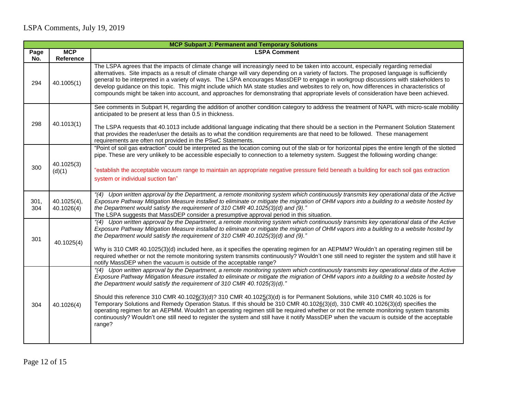|             | <b>MCP Subpart J: Permanent and Temporary Solutions</b> |                                                                                                                                                                                                                                                                                                                                                                                                                                                                                                                                                                                                                                                                                                                                                                                                                                                                                                                                   |  |
|-------------|---------------------------------------------------------|-----------------------------------------------------------------------------------------------------------------------------------------------------------------------------------------------------------------------------------------------------------------------------------------------------------------------------------------------------------------------------------------------------------------------------------------------------------------------------------------------------------------------------------------------------------------------------------------------------------------------------------------------------------------------------------------------------------------------------------------------------------------------------------------------------------------------------------------------------------------------------------------------------------------------------------|--|
| Page        | <b>MCP</b>                                              | <b>LSPA Comment</b>                                                                                                                                                                                                                                                                                                                                                                                                                                                                                                                                                                                                                                                                                                                                                                                                                                                                                                               |  |
| No.         | Reference                                               |                                                                                                                                                                                                                                                                                                                                                                                                                                                                                                                                                                                                                                                                                                                                                                                                                                                                                                                                   |  |
| 294         | 40.1005(1)                                              | The LSPA agrees that the impacts of climate change will increasingly need to be taken into account, especially regarding remedial<br>alternatives. Site impacts as a result of climate change will vary depending on a variety of factors. The proposed language is sufficiently<br>general to be interpreted in a variety of ways. The LSPA encourages MassDEP to engage in workgroup discussions with stakeholders to<br>develop guidance on this topic. This might include which MA state studies and websites to rely on, how differences in characteristics of<br>compounds might be taken into account, and approaches for demonstrating that appropriate levels of consideration have been achieved.                                                                                                                                                                                                                       |  |
| 298         | 40.1013(1)                                              | See comments in Subpart H, regarding the addition of another condition category to address the treatment of NAPL with micro-scale mobility<br>anticipated to be present at less than 0.5 in thickness.<br>The LSPA requests that 40.1013 include additional language indicating that there should be a section in the Permanent Solution Statement<br>that provides the reader/user the details as to what the condition requirements are that need to be followed. These management<br>requirements are often not provided in the PSwC Statements.                                                                                                                                                                                                                                                                                                                                                                               |  |
| 300         | 40.1025(3)<br>(d)(1)                                    | "Point of soil gas extraction" could be interpreted as the location coming out of the slab or for horizontal pipes the entire length of the slotted<br>pipe. These are very unlikely to be accessible especially to connection to a telemetry system. Suggest the following wording change:<br>"establish the acceptable vacuum range to maintain an appropriate negative pressure field beneath a building for each soil gas extraction<br>system or individual suction fan"                                                                                                                                                                                                                                                                                                                                                                                                                                                     |  |
| 301,<br>304 | 40.1025(4),<br>40.1026(4)                               | "(4) Upon written approval by the Department, a remote monitoring system which continuously transmits key operational data of the Active<br>Exposure Pathway Mitigation Measure installed to eliminate or mitigate the migration of OHM vapors into a building to a website hosted by<br>the Department would satisfy the requirement of 310 CMR 40.1025(3)(d) and (9)."<br>The LSPA suggests that MassDEP consider a presumptive approval period in this situation.                                                                                                                                                                                                                                                                                                                                                                                                                                                              |  |
| 301         | 40.1025(4)                                              | "(4) Upon written approval by the Department, a remote monitoring system which continuously transmits key operational data of the Active<br>Exposure Pathway Mitigation Measure installed to eliminate or mitigate the migration of OHM vapors into a building to a website hosted by<br>the Department would satisfy the requirement of 310 CMR 40.1025(3)(d) and (9)."<br>Why is 310 CMR 40.1025(3)(d) included here, as it specifies the operating regimen for an AEPMM? Wouldn't an operating regimen still be<br>required whether or not the remote monitoring system transmits continuously? Wouldn't one still need to register the system and still have it<br>notify MassDEP when the vacuum is outside of the acceptable range?                                                                                                                                                                                         |  |
| 304         | 40.1026(4)                                              | "(4) Upon written approval by the Department, a remote monitoring system which continuously transmits key operational data of the Active<br>Exposure Pathway Mitigation Measure installed to eliminate or mitigate the migration of OHM vapors into a building to a website hosted by<br>the Department would satisfy the requirement of 310 CMR 40.1025(3)(d)."<br>Should this reference 310 CMR 40.1026(3)(d)? 310 CMR 40.1025(3)(d) is for Permanent Solutions, while 310 CMR 40.1026 is for<br>Temporary Solutions and Remedy Operation Status. If this should be 310 CMR 40.1026(3)(d), 310 CMR 40.1026(3)(d) specifies the<br>operating regimen for an AEPMM. Wouldn't an operating regimen still be required whether or not the remote monitoring system transmits<br>continuously? Wouldn't one still need to register the system and still have it notify MassDEP when the vacuum is outside of the acceptable<br>range? |  |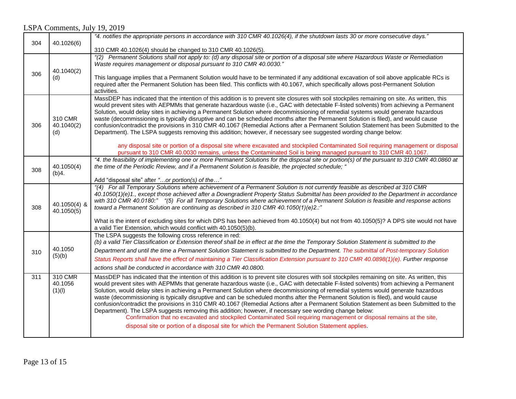|     |                     | "4. notifies the appropriate persons in accordance with 310 CMR 40.1026(4), if the shutdown lasts 30 or more consecutive days."                                                                                                                                                          |
|-----|---------------------|------------------------------------------------------------------------------------------------------------------------------------------------------------------------------------------------------------------------------------------------------------------------------------------|
| 304 | 40.1026(6)          | 310 CMR 40.1026(4) should be changed to 310 CMR 40.1026(5).                                                                                                                                                                                                                              |
|     |                     | "(2) Permanent Solutions shall not apply to: (d) any disposal site or portion of a disposal site where Hazardous Waste or Remediation                                                                                                                                                    |
| 306 |                     | Waste requires management or disposal pursuant to 310 CMR 40.0030."                                                                                                                                                                                                                      |
|     | 40.1040(2)<br>(d)   | This language implies that a Permanent Solution would have to be terminated if any additional excavation of soil above applicable RCs is                                                                                                                                                 |
|     |                     | required after the Permanent Solution has been filed. This conflicts with 40.1067, which specifically allows post-Permanent Solution<br>activities.                                                                                                                                      |
|     |                     | MassDEP has indicated that the intention of this addition is to prevent site closures with soil stockpiles remaining on site. As written, this                                                                                                                                           |
|     |                     | would prevent sites with AEPMMs that generate hazardous waste (i.e., GAC with detectable F-listed solvents) from achieving a Permanent                                                                                                                                                   |
|     | 310 CMR             | Solution, would delay sites in achieving a Permanent Solution where decommissioning of remedial systems would generate hazardous<br>waste (decommissioning is typically disruptive and can be scheduled months after the Permanent Solution is filed), and would cause                   |
| 306 | 40.1040(2)          | confusion/contradict the provisions in 310 CMR 40.1067 (Remedial Actions after a Permanent Solution Statement has been Submitted to the                                                                                                                                                  |
|     | (d)                 | Department). The LSPA suggests removing this addition; however, if necessary see suggested wording change below:                                                                                                                                                                         |
|     |                     | any disposal site or portion of a disposal site where excavated and stockpiled Contaminated Soil requiring management or disposal<br>pursuant to 310 CMR 40.0030 remains, unless the Contaminated Soil is being managed pursuant to 310 CMR 40.1067.                                     |
|     |                     | "4. the feasibility of implementing one or more Permanent Solutions for the disposal site or portion(s) of the pursuant to 310 CMR 40.0860 at                                                                                                                                            |
| 308 | 40.1050(4)<br>(b)4. | the time of the Periodic Review, and if a Permanent Solution is feasible, the projected schedule; "                                                                                                                                                                                      |
|     |                     | Add "disposal site" after "or portion(s) of the"                                                                                                                                                                                                                                         |
|     | 40.1050(4) &        | "(4) For all Temporary Solutions where achievement of a Permanent Solution is not currently feasible as described at 310 CMR<br>40.1050(1)(e)1., except those achieved after a Downgradient Property Status Submittal has been provided to the Department in accordance                  |
|     |                     | with 310 CMR 40.0180:" "(5) For all Temporary Solutions where achievement of a Permanent Solution is feasible and response actions                                                                                                                                                       |
| 308 | 40.1050(5)          | toward a Permanent Solution are continuing as described in 310 CMR 40.1050(1)(e)2.:"                                                                                                                                                                                                     |
|     |                     | What is the intent of excluding sites for which DPS has been achieved from 40.1050(4) but not from 40.1050(5)? A DPS site would not have                                                                                                                                                 |
|     |                     | a valid Tier Extension, which would conflict with 40.1050(5)(b).                                                                                                                                                                                                                         |
|     | 40.1050             | The LSPA suggests the following cross reference in red:<br>(b) a valid Tier Classification or Extension thereof shall be in effect at the time the Temporary Solution Statement is submitted to the                                                                                      |
| 310 |                     | Department and until the time a Permanent Solution Statement is submitted to the Department. The submittal of Post-temporary Solution                                                                                                                                                    |
|     | (5)(b)              | Status Reports shall have the effect of maintaining a Tier Classification Extension pursuant to 310 CMR 40.0898(1)(e). Further response                                                                                                                                                  |
|     |                     | actions shall be conducted in accordance with 310 CMR 40.0800.                                                                                                                                                                                                                           |
| 311 | 310 CMR<br>40.1056  | MassDEP has indicated that the intention of this addition is to prevent site closures with soil stockpiles remaining on site. As written, this<br>would prevent sites with AEPMMs that generate hazardous waste (i.e., GAC with detectable F-listed solvents) from achieving a Permanent |
|     | (1)(1)              | Solution, would delay sites in achieving a Permanent Solution where decommissioning of remedial systems would generate hazardous                                                                                                                                                         |
|     |                     | waste (decommissioning is typically disruptive and can be scheduled months after the Permanent Solution is filed), and would cause<br>confusion/contradict the provisions in 310 CMR 40.1067 (Remedial Actions after a Permanent Solution Statement as been Submitted to the             |
|     |                     | Department). The LSPA suggests removing this addition; however, if necessary see wording change below:                                                                                                                                                                                   |
|     |                     | Confirmation that no excavated and stockpiled Contaminated Soil requiring management or disposal remains at the site,                                                                                                                                                                    |
|     |                     | disposal site or portion of a disposal site for which the Permanent Solution Statement applies.                                                                                                                                                                                          |
|     |                     |                                                                                                                                                                                                                                                                                          |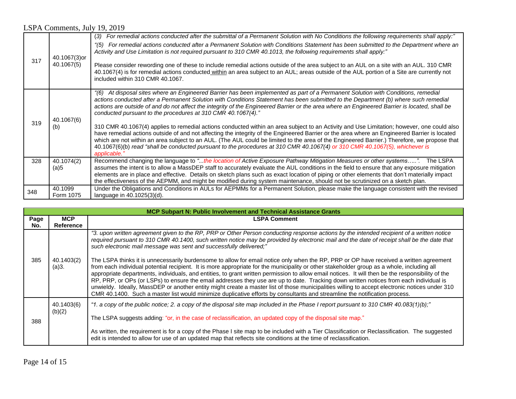|     |                            | For remedial actions conducted after the submittal of a Permanent Solution with No Conditions the following requirements shall apply:"<br>(3)                                                                                                                                                                                                                                                                                                                                                                                                                                              |
|-----|----------------------------|--------------------------------------------------------------------------------------------------------------------------------------------------------------------------------------------------------------------------------------------------------------------------------------------------------------------------------------------------------------------------------------------------------------------------------------------------------------------------------------------------------------------------------------------------------------------------------------------|
| 317 | 40.1067(3)or<br>40.1067(5) | For remedial actions conducted after a Permanent Solution with Conditions Statement has been submitted to the Department where an<br>"(5)<br>Activity and Use Limitation is not required pursuant to 310 CMR 40.1013, the following requirements shall apply:"                                                                                                                                                                                                                                                                                                                             |
|     |                            | Please consider rewording one of these to include remedial actions outside of the area subject to an AUL on a site with an AUL. 310 CMR<br>40.1067(4) is for remedial actions conducted within an area subject to an AUL; areas outside of the AUL portion of a Site are currently not<br>included within 310 CMR 40.1067.                                                                                                                                                                                                                                                                 |
| 319 | 40.1067(6)<br>(b)          | "(6) At disposal sites where an Engineered Barrier has been implemented as part of a Permanent Solution with Conditions, remedial<br>actions conducted after a Permanent Solution with Conditions Statement has been submitted to the Department (b) where such remedial<br>actions are outside of and do not affect the integrity of the Engineered Barrier or the area where an Engineered Barrier is located, shall be<br>conducted pursuant to the procedures at 310 CMR 40.1067(4)."                                                                                                  |
|     |                            | 310 CMR 40.1067(4) applies to remedial actions conducted within an area subject to an Activity and Use Limitation; however, one could also<br>have remedial actions outside of and not affecting the integrity of the Engineered Barrier or the area where an Engineered Barrier is located<br>which are not within an area subject to an AUL. (The AUL could be limited to the area of the Engineered Barrier.) Therefore, we propose that<br>40.1067(6)(b) read "shall be conducted pursuant to the procedures at 310 CMR 40.1067(4) or 310 CMR 40.1067(5), whichever is<br>applicable." |
| 328 | 40.1074(2)<br>(a)5         | Recommend changing the language to " the location of Active Exposure Pathway Mitigation Measures or other systems". The LSPA<br>assumes the intent is to allow a MassDEP staff to accurately evaluate the AUL conditions in the field to ensure that any exposure mitigation                                                                                                                                                                                                                                                                                                               |
|     |                            | elements are in place and effective. Details on sketch plans such as exact location of piping or other elements that don't materially impact<br>the effectiveness of the AEPMM, and might be modified during system maintenance, should not be scrutinized on a sketch plan.                                                                                                                                                                                                                                                                                                               |
| 348 | 40.1099<br>Form 1075       | Under the Obligations and Conditions in AULs for AEPMMs for a Permanent Solution, please make the language consistent with the revised<br>language in 40.1025(3)(d).                                                                                                                                                                                                                                                                                                                                                                                                                       |

|             | <b>MCP Subpart N: Public Involvement and Technical Assistance Grants</b> |                                                                                                                                                                                                                                                                                                                                                                                                                                                                                                                                                                                                                                                                                                                                                                                                                                                                     |  |
|-------------|--------------------------------------------------------------------------|---------------------------------------------------------------------------------------------------------------------------------------------------------------------------------------------------------------------------------------------------------------------------------------------------------------------------------------------------------------------------------------------------------------------------------------------------------------------------------------------------------------------------------------------------------------------------------------------------------------------------------------------------------------------------------------------------------------------------------------------------------------------------------------------------------------------------------------------------------------------|--|
| Page<br>No. | <b>MCP</b><br>Reference                                                  | <b>LSPA Comment</b>                                                                                                                                                                                                                                                                                                                                                                                                                                                                                                                                                                                                                                                                                                                                                                                                                                                 |  |
| 385         |                                                                          | "3. upon written agreement given to the RP, PRP or Other Person conducting response actions by the intended recipient of a written notice<br>required pursuant to 310 CMR 40.1400, such written notice may be provided by electronic mail and the date of receipt shall be the date that<br>such electronic mail message was sent and successfully delivered;"                                                                                                                                                                                                                                                                                                                                                                                                                                                                                                      |  |
|             | 40.1403(2)<br>(a)3.                                                      | The LSPA thinks it is unnecessarily burdensome to allow for email notice only when the RP, PRP or OP have received a written agreement<br>from each individual potential recipient. It is more appropriate for the municipality or other stakeholder group as a whole, including all<br>appropriate departments, individuals, and entities, to grant written permission to allow email notices. It will then be the responsibility of the<br>RP, PRP, or OPs (or LSPs) to ensure the email addresses they use are up to date. Tracking down written notices from each individual is<br>unwieldy. Ideally, MassDEP or another entity might create a master list of those municipalities willing to accept electronic notices under 310<br>CMR 40.1400. Such a master list would minimize duplicative efforts by consultants and streamline the notification process. |  |
| 388         | 40.1403(6)<br>(b)(2)                                                     | "1. a copy of the public notice; 2. a copy of the disposal site map included in the Phase I report pursuant to 310 CMR 40.083(1)(b);"                                                                                                                                                                                                                                                                                                                                                                                                                                                                                                                                                                                                                                                                                                                               |  |
|             |                                                                          | The LSPA suggests adding: "or, in the case of reclassification, an updated copy of the disposal site map."                                                                                                                                                                                                                                                                                                                                                                                                                                                                                                                                                                                                                                                                                                                                                          |  |
|             |                                                                          | As written, the requirement is for a copy of the Phase I site map to be included with a Tier Classification or Reclassification. The suggested<br>edit is intended to allow for use of an updated map that reflects site conditions at the time of reclassification.                                                                                                                                                                                                                                                                                                                                                                                                                                                                                                                                                                                                |  |